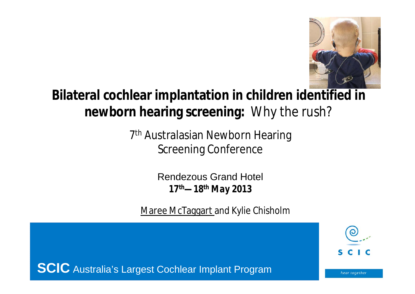

### **Bilateral cochlear implantation in children identified in newborn hearing screening:** Why the rush?

7<sup>th</sup> Australasian Newborn Hearing Screening Conference

> Rendezous Grand Hotel *17th—18th May 2013*

Maree McTaggart and Kylie Chisholm



**SCIC** Australia's Largest Cochlear Implant Program

hear together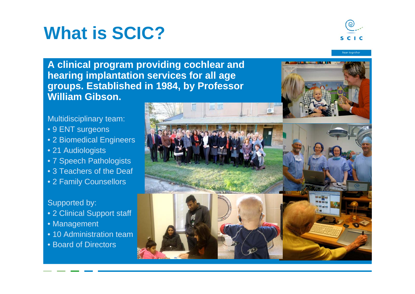# **What is SCIC?**



hear together

**A clinical program providing cochlear and hearing implantation services for all age groups. Established in 1984, by Professor William Gibson.**

Multidisciplinary team:

- 9 ENT surgeons
- 2 Biomedical Engineers
- 21 Audiologists
- 7 Speech Pathologists
- 3 Teachers of the Deaf
- 2 Family Counsellors

#### Supported by:

- 2 Clinical Support staff
- Management
- 10 Administration team
- Board of Directors

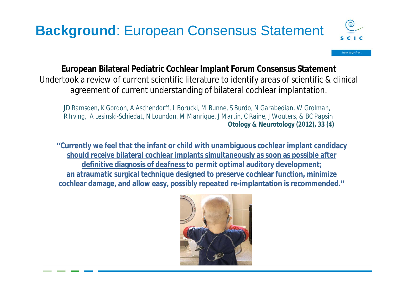### **Background**: European Consensus Statement



hear togethei

#### **European Bilateral Pediatric Cochlear Implant Forum Consensus Statement**

Undertook a review of current scientific literature to identify areas of scientific & clinical agreement of current understanding of bilateral cochlear implantation.

*JD Ramsden, K Gordon, A Aschendorff, L Borucki, M Bunne, S Burdo, N Garabedian, W Grolman, R Irving, A Lesinski-Schiedat, N Loundon, M Manrique, J Martin, C Raine, J Wouters, & BC Papsin* **Otology & Neurotology (2012), 33 (4)**

**''Currently we feel that the infant or child with unambiguous cochlear implant candidacy should receive bilateral cochlear implants simultaneously as soon as possible after definitive diagnosis of deafness to permit optimal auditory development; an atraumatic surgical technique designed to preserve cochlear function, minimize cochlear damage, and allow easy, possibly repeated re-implantation is recommended.''**

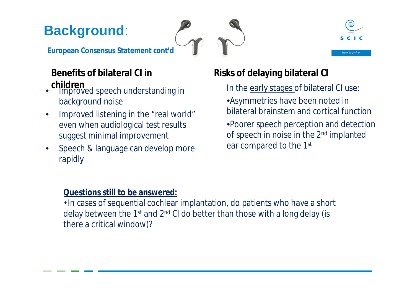### **Background**:





**European Consensus Statement** *cont'd*

#### **Benefits of bilateral CI in children**

- Improved speech understanding in background noise
- Improved listening in the "real world" even when audiological test results suggest minimal improvement
- Speech & language can develop more rapidly

#### **Risks of delaying bilateral CI**

In the early stages of bilateral CI use:

- •Asymmetries have been noted in bilateral brainstem and cortical function
- •Poorer speech perception and detection of speech in noise in the 2nd implanted ear compared to the 1st

#### **Questions still to be answered:**

•In cases of sequential cochlear implantation, do patients who have a short delay between the 1<sup>st</sup> and 2<sup>nd</sup> CI do better than those with a long delay (is there a critical window)?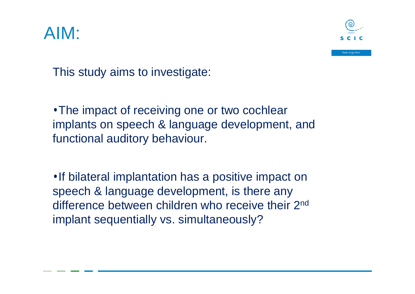# AIM:



This study aims to investigate:

•The impact of receiving one or two cochlear implants on speech & language development, and functional auditory behaviour.

•If bilateral implantation has a positive impact on speech & language development, is there any difference between children who receive their 2<sup>nd</sup> implant sequentially vs. simultaneously?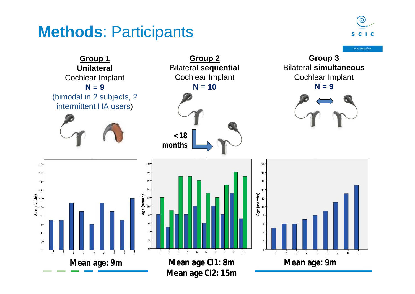### **Methods**: Participants



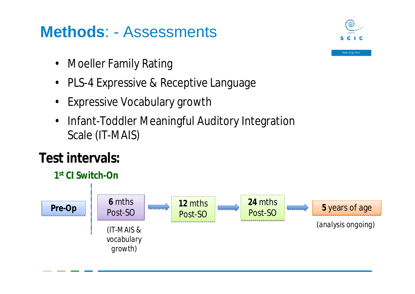## **Methods**: - Assessments

- Moeller Family Rating
- PLS-4 Expressive & Receptive Language
- **Expressive Vocabulary growth**
- Infant-Toddler Meaningful Auditory Integration Scale (IT-MAIS)

### **Test intervals:**





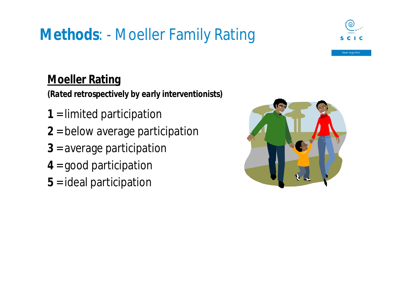# **Methods**: - Moeller Family Rating



hear together

#### **Moeller Rating**

*(Rated retrospectively by early interventionists)*

- **1** = limited participation
- **2** = below average participation
- **3** = average participation
- **4** = good participation
- **5** = ideal participation

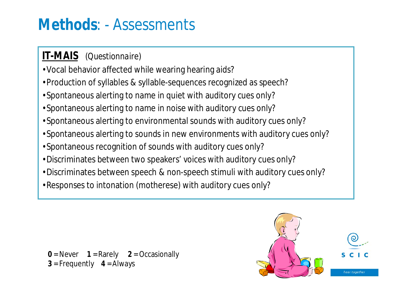## **Methods**: - Assessments

#### **IT-MAIS** *(Questionnaire)*

- •Vocal behavior affected while wearing hearing aids?
- •Production of syllables & syllable-sequences recognized as speech?
- •Spontaneous alerting to name in quiet with auditory cues only?
- •Spontaneous alerting to name in noise with auditory cues only?
- •Spontaneous alerting to environmental sounds with auditory cues only?
- •Spontaneous alerting to sounds in new environments with auditory cues only?
- •Spontaneous recognition of sounds with auditory cues only?
- •Discriminates between two speakers' voices with auditory cues only?
- •Discriminates between speech & non-speech stimuli with auditory cues only?
- •Responses to intonation (motherese) with auditory cues only?

**0** = Never **1** = Rarely **2** = Occasionally **3** = Frequently **4** = Always

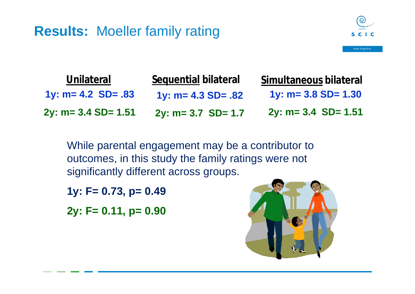#### **Results:** Moeller family rating



| <b>Unilateral</b>       | Sequential bilateral    | Simultaneous bilateral  |
|-------------------------|-------------------------|-------------------------|
| 1y: $m = 4.2$ SD= $.83$ | 1y: $m = 4.3$ SD= $.82$ | $1y: m = 3.8 SD = 1.30$ |
| $2y: m = 3.4 SD = 1.51$ | $2y: m = 3.7$ SD= 1.7   | $2y: m = 3.4$ SD= 1.51  |

While parental engagement may be a contributor to outcomes, in this study the family ratings were not significantly different across groups.

**1y: F= 0.73, p= 0.49**

**2y: F= 0.11, p= 0.90**

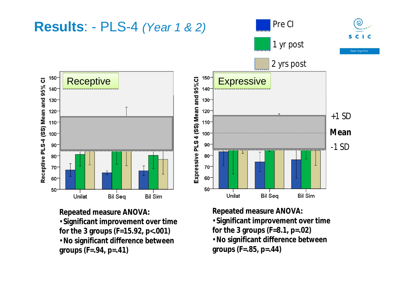

•**Significant improvement over time for the 3 groups (F=15.92, p<.001)** •**No significant difference between groups (F=.94, p=.41)**

**Repeated measure ANOVA:** •**Significant improvement over time for the 3 groups (F=8.1, p=.02)** •**No significant difference between groups (F=.85, p=.44)**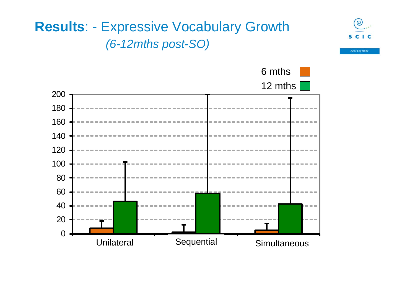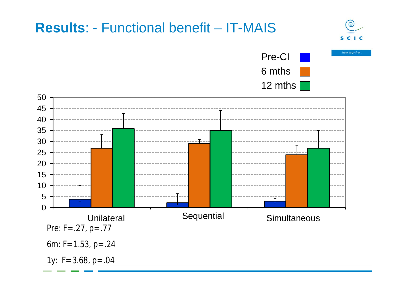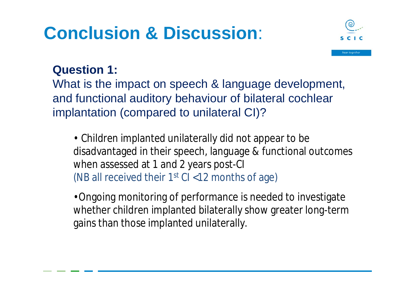# **Conclusion & Discussion**:



#### **Question 1:**

What is the impact on speech & language development, and functional auditory behaviour of bilateral cochlear implantation (compared to unilateral CI)?

• Children implanted unilaterally did not appear to be disadvantaged in their speech, language & functional outcomes when assessed at 1 and 2 years post-CI (NB all received their  $1<sup>st</sup>$  CI <12 months of age)

•Ongoing monitoring of performance is needed to investigate whether children implanted bilaterally show greater long-term gains than those implanted unilaterally.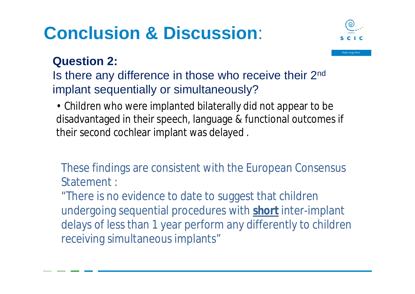# **Conclusion & Discussion**:



hear together

#### **Question 2:**

Is there any difference in those who receive their 2nd implant sequentially or simultaneously?

• Children who were implanted bilaterally did not appear to be disadvantaged in their speech, language & functional outcomes if their second cochlear implant was delayed .

These findings are consistent with the European Consensus Statement :

"There is no evidence to date to suggest that children undergoing sequential procedures with **short** inter-implant delays of less than 1 year perform any differently to children receiving simultaneous implants"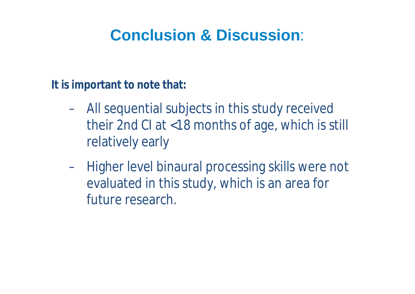## **Conclusion & Discussion**:

**It is important to note that:**

- All sequential subjects in this study received their 2nd CI at <18 months of age, which is still relatively early
- Higher level binaural processing skills were not evaluated in this study, which is an area for future research.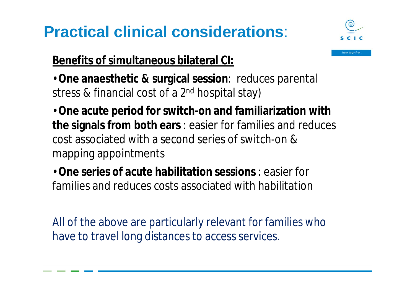# **Practical clinical considerations**:



hear together

**Benefits of simultaneous bilateral CI:**

•**One anaesthetic & surgical session**: reduces parental stress & financial cost of a 2<sup>nd</sup> hospital stay)

•**One acute period for switch-on and familiarization with the signals from both ears** : easier for families and reduces cost associated with a second series of switch-on & mapping appointments

•**One series of acute habilitation sessions** : easier for families and reduces costs associated with habilitation

All of the above are particularly relevant for families who have to travel long distances to access services.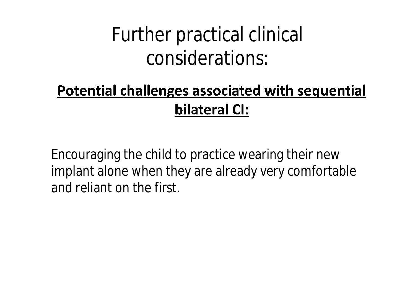# Further practical clinical considerations:

## **Potential challenges associated with sequential** bilateral CI:

Encouraging the child to practice wearing their new implant alone when they are already very comfortable and reliant on the first.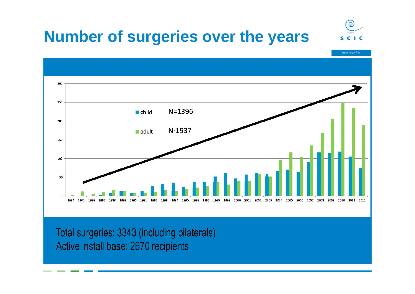## **Number of surgeries over the years**



hear together



Total surgeries: 3343 (including bilaterals) Active install base: 2670 recipients